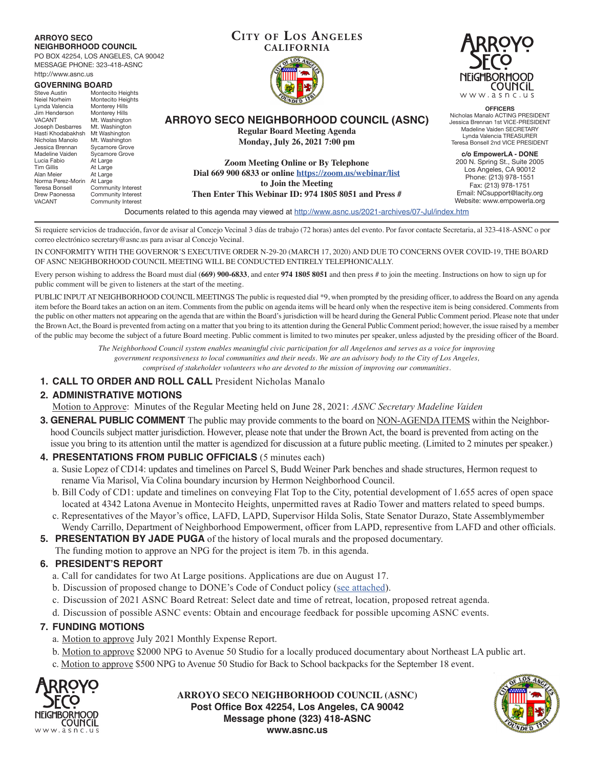#### **ARROYO SECO NEIGHBORHOOD COUNCIL**

PO BOX 42254, LOS ANGELES, CA 90042 MESSAGE PHONE: 323-418-ASNC http://www.asnc.us

| <b>GOVERNING BOARD</b><br>Montecito Heights<br>Steve Austin |                                     |                                                                                       |
|-------------------------------------------------------------|-------------------------------------|---------------------------------------------------------------------------------------|
| Neiel Norheim<br>Lynda Valencia                             | Montecito Heights<br>Monterey Hills |                                                                                       |
| Jim Henderson                                               | Monterey Hills                      |                                                                                       |
| <b>VACANT</b>                                               | Mt. Washington                      | <b>ARROYO SECO NEIGHBORHOOD COUNCIL (ASNC)</b>                                        |
| Joseph Desbarres                                            | Mt. Washington                      |                                                                                       |
| Hasti Khodabakhsh                                           | Mt Washington                       | <b>Regular Board Meeting Agenda</b>                                                   |
| Nicholas Manolo                                             | Mt. Washington                      | Monday, July 26, 2021 7:00 pm                                                         |
| Jessica Brennan                                             | Sycamore Grove                      |                                                                                       |
| Madeline Vaiden                                             | Sycamore Grove                      |                                                                                       |
| Lucia Fabio                                                 | At Large                            | <b>Zoom Meeting Online or By Telephone</b>                                            |
| <b>Tim Gillis</b>                                           | At Large                            |                                                                                       |
| Alan Meier                                                  | At Large                            | Dial 669 900 6833 or online https://zoom.us/webinar/list                              |
| Norma Perez-Morin                                           | At Large                            | to Join the Meeting                                                                   |
| Teresa Bonsell                                              | Community Interest                  |                                                                                       |
| Drew Paonessa                                               | Community Interest                  | Then Enter This Webinar ID: 974 1805 8051 and Press #                                 |
| <b>VACANT</b>                                               | Community Interest                  |                                                                                       |
|                                                             |                                     | Documents related to this agenda may viewed at http://www.aspc.us/2021-archives/07-Ju |



**OFFICERS** Nicholas Manalo ACTING PRESIDENT Jessica Brennan 1st VICE-PRESIDENT Madeline Vaiden SECRETARY Lynda Valencia TREASURER Teresa Bonsell 2nd VICE PRESIDENT

**c/o EmpowerLA - DONE** 200 N. Spring St., Suite 2005 Los Angeles, CA 90012 Phone: (213) 978-1551 Fax: (213) 978-1751 Email: NCsupport@lacity.org Website: www.empowerla.org

Documents related to this agenda may viewed at http://www.asnc.us/2021-archives/07-Jul/index.htm

**Cit y of Los Angeles CALIFORNIA**

Si requiere servicios de traducción, favor de avisar al Concejo Vecinal 3 días de trabajo (72 horas) antes del evento. Por favor contacte Secretaria, al 323-418-ASNC o por correo electrónico secretary@asnc.us para avisar al Concejo Vecinal.

IN CONFORMITY WITH THE GOVERNOR'S EXECUTIVE ORDER N-29-20 (MARCH 17, 2020) AND DUE TO CONCERNS OVER COVID-19, THE BOARD OF ASNC NEIGHBORHOOD COUNCIL MEETING WILL BE CONDUCTED ENTIRELY TELEPHONICALLY.

Every person wishing to address the Board must dial (**669) 900-6833**, and enter **974 1805 8051** and then press # to join the meeting. Instructions on how to sign up for public comment will be given to listeners at the start of the meeting.

PUBLIC INPUT AT NEIGHBORHOOD COUNCIL MEETINGS The public is requested dial \*9, when prompted by the presiding officer, to address the Board on any agenda item before the Board takes an action on an item. Comments from the public on agenda items will be heard only when the respective item is being considered. Comments from the public on other matters not appearing on the agenda that are within the Board's jurisdiction will be heard during the General Public Comment period. Please note that under the Brown Act, the Board is prevented from acting on a matter that you bring to its attention during the General Public Comment period; however, the issue raised by a member of the public may become the subject of a future Board meeting. Public comment is limited to two minutes per speaker, unless adjusted by the presiding officer of the Board.

> *The Neighborhood Council system enables meaningful civic participation for all Angelenos and serves as a voice for improving government responsiveness to local communities and their needs. We are an advisory body to the City of Los Angeles, comprised of stakeholder volunteers who are devoted to the mission of improving our communities.*

**1. CALL TO ORDER AND ROLL CALL** President Nicholas Manalo

# **2. ADMINISTRATIVE MOTIONS**

Motion to Approve: Minutes of the Regular Meeting held on June 28, 2021: *ASNC Secretary Madeline Vaiden*

**3. GENERAL PUBLIC COMMENT** The public may provide comments to the board on NON-AGENDA ITEMS within the Neighborhood Councils subject matter jurisdiction. However, please note that under the Brown Act, the board is prevented from acting on the issue you bring to its attention until the matter is agendized for discussion at a future public meeting. (Limited to 2 minutes per speaker.)

# **4. PRESENTATIONS FROM PUBLIC OFFICIALS** (5 minutes each)

- a. Susie Lopez of CD14: updates and timelines on Parcel S, Budd Weiner Park benches and shade structures, Hermon request to rename Via Marisol, Via Colina boundary incursion by Hermon Neighborhood Council.
- b. Bill Cody of CD1: update and timelines on conveying Flat Top to the City, potential development of 1.655 acres of open space located at 4342 Latona Avenue in Montecito Heights, unpermitted raves at Radio Tower and matters related to speed bumps.
- c. Representatives of the Mayor's office, LAFD, LAPD, Supervisor Hilda Solis, State Senator Durazo, State Assemblymember Wendy Carrillo, Department of Neighborhood Empowerment, officer from LAPD, representive from LAFD and other officials.
- **5. PRESENTATION BY JADE PUGA** of the history of local murals and the proposed documentary.
	- The funding motion to approve an NPG for the project is item 7b. in this agenda.

# **6. PRESIDENT'S REPORT**

- a. Call for candidates for two At Large positions. Applications are due on August 17.
- b. Discussion of proposed change to DONE's Code of Conduct policy (see attached).
- c. Discussion of 2021 ASNC Board Retreat: Select date and time of retreat, location, proposed retreat agenda.
- d. Discussion of possible ASNC events: Obtain and encourage feedback for possible upcoming ASNC events.

# **7. FUNDING MOTIONS**

- a. Motion to approve July 2021 Monthly Expense Report.
- b. Motion to approve \$2000 NPG to Avenue 50 Studio for a locally produced documentary about Northeast LA public art.
- c. Motion to approve \$500 NPG to Avenue 50 Studio for Back to School backpacks for the September 18 event.



**ARROYO SECO NEIGHBORHOOD COUNCIL (ASNC) Post Office Box 42254, Los Angeles, CA 90042 Message phone (323) 418-ASNC www.asnc.us**